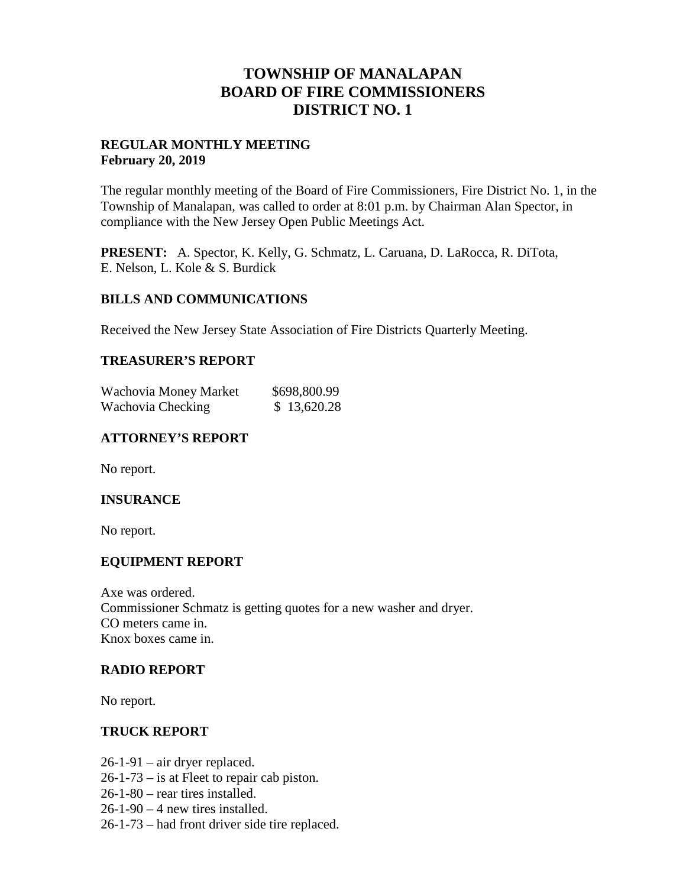## **TOWNSHIP OF MANALAPAN BOARD OF FIRE COMMISSIONERS DISTRICT NO. 1**

## **REGULAR MONTHLY MEETING February 20, 2019**

The regular monthly meeting of the Board of Fire Commissioners, Fire District No. 1, in the Township of Manalapan, was called to order at 8:01 p.m. by Chairman Alan Spector, in compliance with the New Jersey Open Public Meetings Act.

**PRESENT:** A. Spector, K. Kelly, G. Schmatz, L. Caruana, D. LaRocca, R. DiTota, E. Nelson, L. Kole & S. Burdick

#### **BILLS AND COMMUNICATIONS**

Received the New Jersey State Association of Fire Districts Quarterly Meeting.

#### **TREASURER'S REPORT**

| Wachovia Money Market | \$698,800.99 |
|-----------------------|--------------|
| Wachovia Checking     | \$13,620.28  |

## **ATTORNEY'S REPORT**

No report.

#### **INSURANCE**

No report.

## **EQUIPMENT REPORT**

Axe was ordered. Commissioner Schmatz is getting quotes for a new washer and dryer. CO meters came in. Knox boxes came in.

#### **RADIO REPORT**

No report.

#### **TRUCK REPORT**

- 26-1-91 air dryer replaced.
- 26-1-73 is at Fleet to repair cab piston.
- 26-1-80 rear tires installed.
- $26-1-90-4$  new tires installed.
- 26-1-73 had front driver side tire replaced.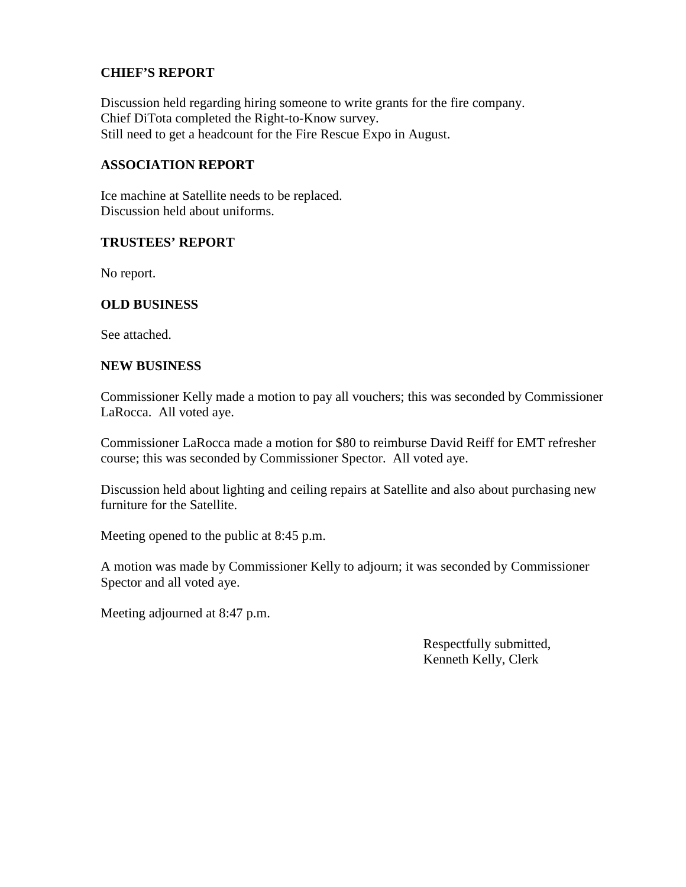## **CHIEF'S REPORT**

Discussion held regarding hiring someone to write grants for the fire company. Chief DiTota completed the Right-to-Know survey. Still need to get a headcount for the Fire Rescue Expo in August.

#### **ASSOCIATION REPORT**

Ice machine at Satellite needs to be replaced. Discussion held about uniforms.

#### **TRUSTEES' REPORT**

No report.

#### **OLD BUSINESS**

See attached.

#### **NEW BUSINESS**

Commissioner Kelly made a motion to pay all vouchers; this was seconded by Commissioner LaRocca. All voted aye.

Commissioner LaRocca made a motion for \$80 to reimburse David Reiff for EMT refresher course; this was seconded by Commissioner Spector. All voted aye.

Discussion held about lighting and ceiling repairs at Satellite and also about purchasing new furniture for the Satellite.

Meeting opened to the public at 8:45 p.m.

A motion was made by Commissioner Kelly to adjourn; it was seconded by Commissioner Spector and all voted aye.

Meeting adjourned at 8:47 p.m.

Respectfully submitted, Kenneth Kelly, Clerk